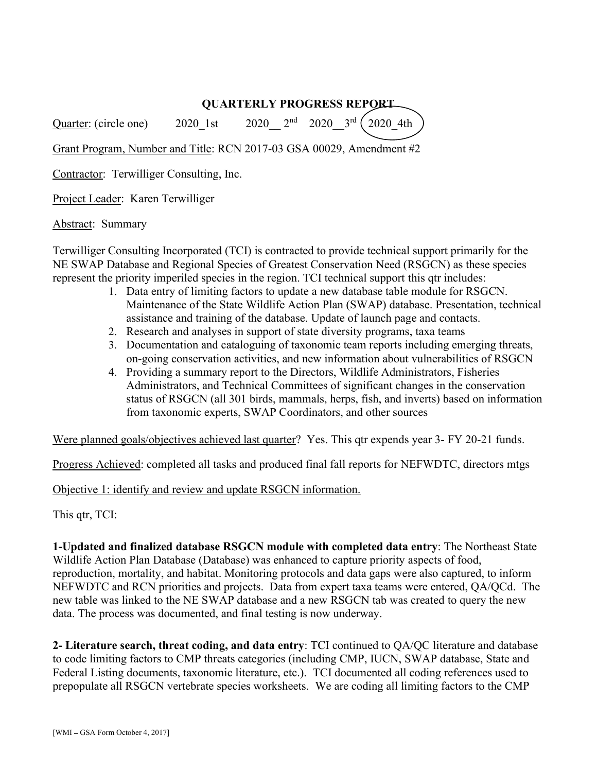## QUARTERLY PROGRESS REPORT

Quarter: (circle one) 2020 1st 2020  $2^{nd}$  2020  $3^{rd}$   $2020~4th$ 

Grant Program, Number and Title: RCN 2017-03 GSA 00029, Amendment #2

Contractor: Terwilliger Consulting, Inc.

Project Leader: Karen Terwilliger

Abstract: Summary

Terwilliger Consulting Incorporated (TCI) is contracted to provide technical support primarily for the NE SWAP Database and Regional Species of Greatest Conservation Need (RSGCN) as these species represent the priority imperiled species in the region. TCI technical support this qtr includes:

- 1. Data entry of limiting factors to update a new database table module for RSGCN. Maintenance of the State Wildlife Action Plan (SWAP) database. Presentation, technical assistance and training of the database. Update of launch page and contacts.
- 2. Research and analyses in support of state diversity programs, taxa teams
- 3. Documentation and cataloguing of taxonomic team reports including emerging threats, on-going conservation activities, and new information about vulnerabilities of RSGCN
- 4. Providing a summary report to the Directors, Wildlife Administrators, Fisheries Administrators, and Technical Committees of significant changes in the conservation status of RSGCN (all 301 birds, mammals, herps, fish, and inverts) based on information from taxonomic experts, SWAP Coordinators, and other sources

Were planned goals/objectives achieved last quarter? Yes. This qtr expends year 3- FY 20-21 funds.

Progress Achieved: completed all tasks and produced final fall reports for NEFWDTC, directors mtgs

Objective 1: identify and review and update RSGCN information.

This qtr, TCI:

1-Updated and finalized database RSGCN module with completed data entry: The Northeast State Wildlife Action Plan Database (Database) was enhanced to capture priority aspects of food, reproduction, mortality, and habitat. Monitoring protocols and data gaps were also captured, to inform NEFWDTC and RCN priorities and projects. Data from expert taxa teams were entered, QA/QCd. The new table was linked to the NE SWAP database and a new RSGCN tab was created to query the new data. The process was documented, and final testing is now underway.

2- Literature search, threat coding, and data entry: TCI continued to QA/QC literature and database to code limiting factors to CMP threats categories (including CMP, IUCN, SWAP database, State and Federal Listing documents, taxonomic literature, etc.). TCI documented all coding references used to prepopulate all RSGCN vertebrate species worksheets. We are coding all limiting factors to the CMP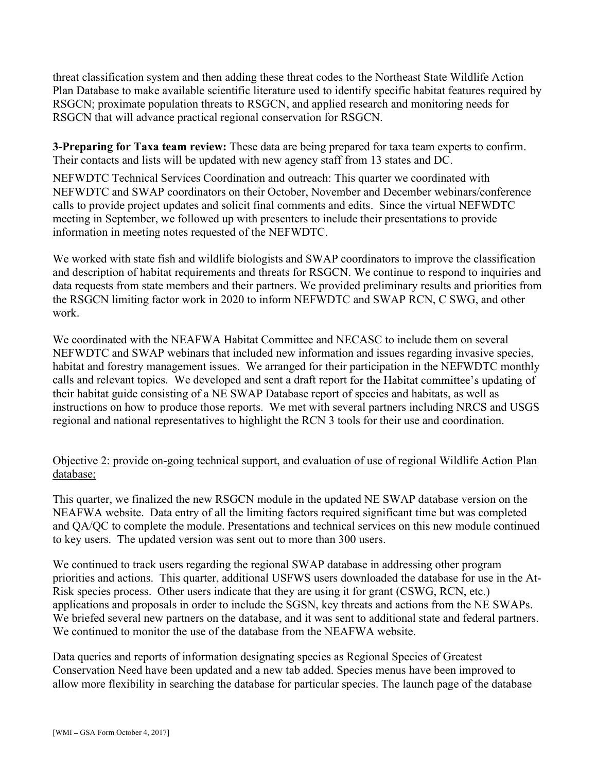threat classification system and then adding these threat codes to the Northeast State Wildlife Action Plan Database to make available scientific literature used to identify specific habitat features required by RSGCN; proximate population threats to RSGCN, and applied research and monitoring needs for RSGCN that will advance practical regional conservation for RSGCN.

3-Preparing for Taxa team review: These data are being prepared for taxa team experts to confirm. Their contacts and lists will be updated with new agency staff from 13 states and DC.

NEFWDTC Technical Services Coordination and outreach: This quarter we coordinated with NEFWDTC and SWAP coordinators on their October, November and December webinars/conference calls to provide project updates and solicit final comments and edits. Since the virtual NEFWDTC meeting in September, we followed up with presenters to include their presentations to provide information in meeting notes requested of the NEFWDTC.

We worked with state fish and wildlife biologists and SWAP coordinators to improve the classification and description of habitat requirements and threats for RSGCN. We continue to respond to inquiries and data requests from state members and their partners. We provided preliminary results and priorities from the RSGCN limiting factor work in 2020 to inform NEFWDTC and SWAP RCN, C SWG, and other work.

We coordinated with the NEAFWA Habitat Committee and NECASC to include them on several NEFWDTC and SWAP webinars that included new information and issues regarding invasive species, habitat and forestry management issues. We arranged for their participation in the NEFWDTC monthly calls and relevant topics. We developed and sent a draft report for the Habitat committee's updating of their habitat guide consisting of a NE SWAP Database report of species and habitats, as well as instructions on how to produce those reports. We met with several partners including NRCS and USGS regional and national representatives to highlight the RCN 3 tools for their use and coordination.

## Objective 2: provide on-going technical support, and evaluation of use of regional Wildlife Action Plan database;

This quarter, we finalized the new RSGCN module in the updated NE SWAP database version on the NEAFWA website. Data entry of all the limiting factors required significant time but was completed and QA/QC to complete the module. Presentations and technical services on this new module continued to key users. The updated version was sent out to more than 300 users.

We continued to track users regarding the regional SWAP database in addressing other program priorities and actions. This quarter, additional USFWS users downloaded the database for use in the At-Risk species process. Other users indicate that they are using it for grant (CSWG, RCN, etc.) applications and proposals in order to include the SGSN, key threats and actions from the NE SWAPs. We briefed several new partners on the database, and it was sent to additional state and federal partners. We continued to monitor the use of the database from the NEAFWA website.

Data queries and reports of information designating species as Regional Species of Greatest Conservation Need have been updated and a new tab added. Species menus have been improved to allow more flexibility in searching the database for particular species. The launch page of the database